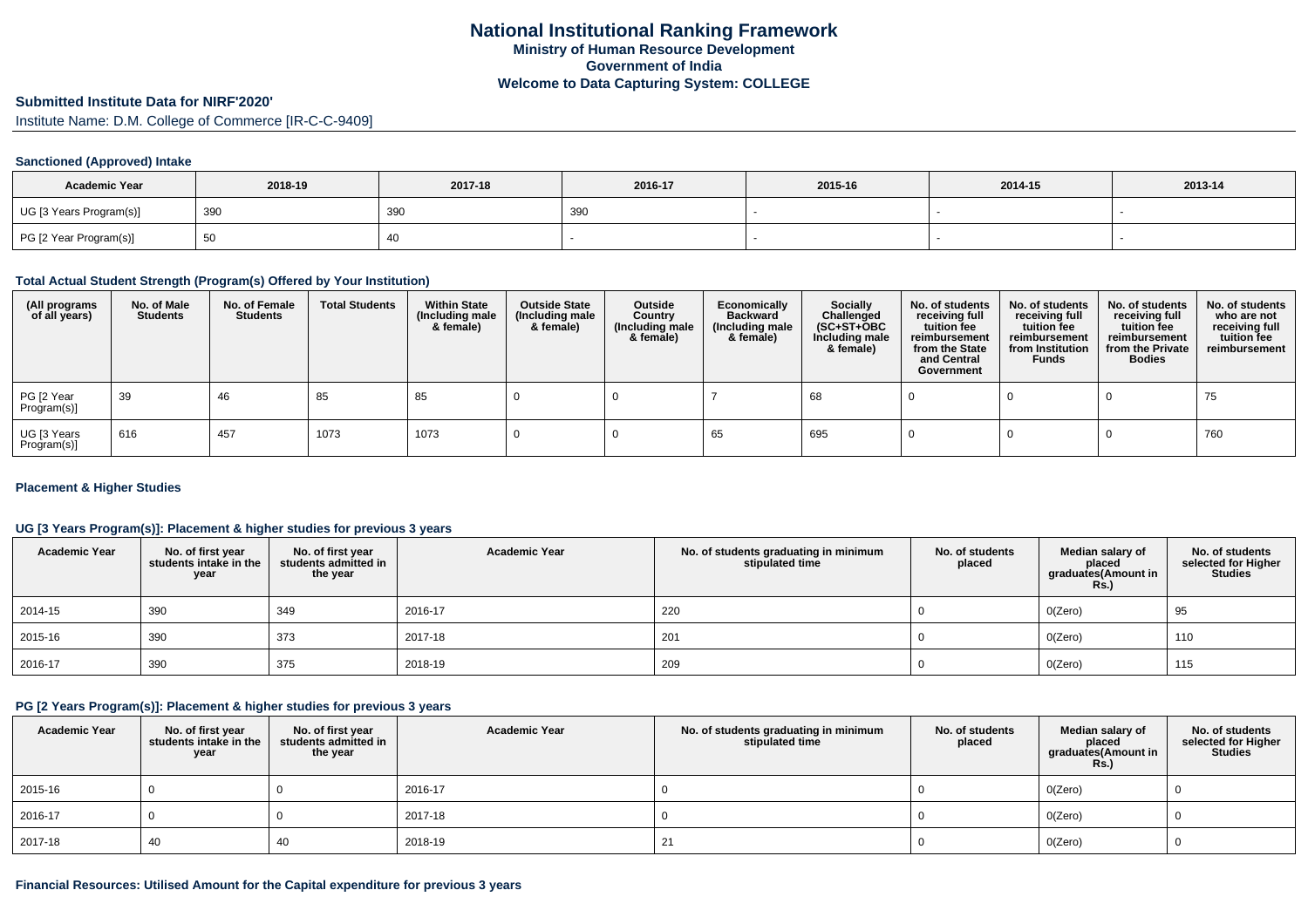### **Submitted Institute Data for NIRF'2020'**

Institute Name: D.M. College of Commerce [IR-C-C-9409]

#### **Sanctioned (Approved) Intake**

| <b>Academic Year</b>    | 2018-19 | 2017-18 | 2016-17 | 2015-16 | 2014-15 | 2013-14 |
|-------------------------|---------|---------|---------|---------|---------|---------|
| UG [3 Years Program(s)] | 390     | 390     | 39      |         |         |         |
| PG [2 Year Program(s)]  | ັບບ     | 40      |         |         |         |         |

### **Total Actual Student Strength (Program(s) Offered by Your Institution)**

| (All programs<br>of all years) | No. of Male<br><b>Students</b> | No. of Female<br>Students | <b>Total Students</b> | <b>Within State</b><br>(Including male<br>& female) | <b>Outside State</b><br>(Including male<br>& female) | Outside<br>Country<br>(Including male<br>& female) | Economically<br><b>Backward</b><br>(Including male<br>& female) | Socially<br>Challenged<br>$(SC+ST+OBC)$<br>Including male<br>& female) | No. of students<br>receiving full<br>tuition fee<br>reimbursement<br>from the State<br>and Central<br>Government | No. of students<br>receiving full<br>tuition fee<br>reimbursement<br>from Institution<br><b>Funds</b> | No. of students<br>receiving full<br>tuition fee<br>reimbursement<br>from the Private<br><b>Bodies</b> | No. of students<br>who are not<br>receiving full<br>tuition fee<br>reimbursement |
|--------------------------------|--------------------------------|---------------------------|-----------------------|-----------------------------------------------------|------------------------------------------------------|----------------------------------------------------|-----------------------------------------------------------------|------------------------------------------------------------------------|------------------------------------------------------------------------------------------------------------------|-------------------------------------------------------------------------------------------------------|--------------------------------------------------------------------------------------------------------|----------------------------------------------------------------------------------|
| PG [2 Year<br>Program(s)]      | 39                             | 46                        | 85                    | 85                                                  |                                                      |                                                    |                                                                 | 68                                                                     |                                                                                                                  |                                                                                                       |                                                                                                        | 75                                                                               |
| UG [3 Years<br>Program(s)]     | 616                            | 457                       | 1073                  | 1073                                                |                                                      |                                                    | 65                                                              | 695                                                                    |                                                                                                                  |                                                                                                       |                                                                                                        | 760                                                                              |

#### **Placement & Higher Studies**

## **UG [3 Years Program(s)]: Placement & higher studies for previous 3 years**

| <b>Academic Year</b> | No. of first year<br>students intake in the<br>year | No. of first year<br>students admitted in<br>the year | <b>Academic Year</b> | No. of students graduating in minimum<br>stipulated time | No. of students<br>placed | Median salary of<br>placed<br>graduates(Amount in<br><b>Rs.)</b> | No. of students<br>selected for Higher<br><b>Studies</b> |
|----------------------|-----------------------------------------------------|-------------------------------------------------------|----------------------|----------------------------------------------------------|---------------------------|------------------------------------------------------------------|----------------------------------------------------------|
| 2014-15              | 390                                                 | 349                                                   | 2016-17              | 220                                                      |                           | O(Zero)                                                          | 95                                                       |
| 2015-16              | 390                                                 | 373                                                   | 2017-18              | 201                                                      |                           | O(Zero)                                                          | 110                                                      |
| $ 2016-17$           | 390                                                 | 375                                                   | 2018-19              | 209                                                      |                           | O(Zero)                                                          | 115                                                      |

## **PG [2 Years Program(s)]: Placement & higher studies for previous 3 years**

| <b>Academic Year</b> | No. of first year students intake in the<br>year | No. of first year<br>students admitted in<br>the year | <b>Academic Year</b> | No. of students graduating in minimum<br>stipulated time | No. of students<br>placed | Median salary of<br>placed<br>graduates(Amount in<br><b>Rs.)</b> | No. of students<br>selected for Higher<br><b>Studies</b> |
|----------------------|--------------------------------------------------|-------------------------------------------------------|----------------------|----------------------------------------------------------|---------------------------|------------------------------------------------------------------|----------------------------------------------------------|
| 2015-16              |                                                  |                                                       | 2016-17              |                                                          |                           | O(Zero)                                                          |                                                          |
| 2016-17              |                                                  |                                                       | 2017-18              |                                                          |                           | O(Zero)                                                          |                                                          |
| 2017-18              | 40                                               | 40                                                    | 2018-19              | 21                                                       |                           | O(Zero)                                                          |                                                          |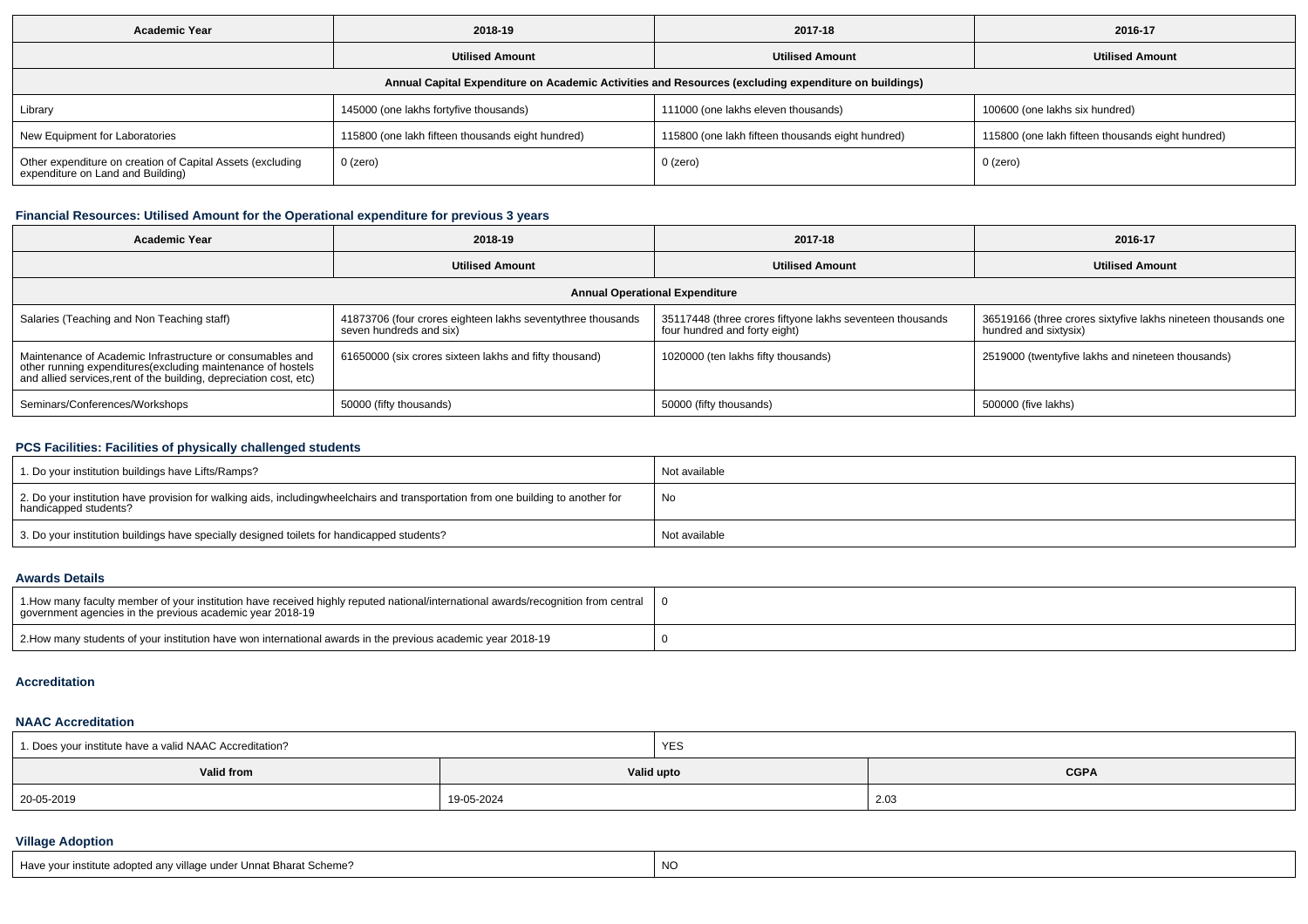| <b>Academic Year</b>                                                                                 | 2018-19                                           | 2017-18                                           | 2016-17                                           |  |  |  |  |  |  |
|------------------------------------------------------------------------------------------------------|---------------------------------------------------|---------------------------------------------------|---------------------------------------------------|--|--|--|--|--|--|
|                                                                                                      | <b>Utilised Amount</b>                            | <b>Utilised Amount</b>                            | <b>Utilised Amount</b>                            |  |  |  |  |  |  |
| Annual Capital Expenditure on Academic Activities and Resources (excluding expenditure on buildings) |                                                   |                                                   |                                                   |  |  |  |  |  |  |
| Library                                                                                              | 145000 (one lakhs fortyfive thousands)            | 111000 (one lakhs eleven thousands)               | 100600 (one lakhs six hundred)                    |  |  |  |  |  |  |
| New Equipment for Laboratories                                                                       | 115800 (one lakh fifteen thousands eight hundred) | 115800 (one lakh fifteen thousands eight hundred) | 115800 (one lakh fifteen thousands eight hundred) |  |  |  |  |  |  |
| Other expenditure on creation of Capital Assets (excluding<br>expenditure on Land and Building)      | 0 (zero)                                          | $0$ (zero)                                        | 0 (zero)                                          |  |  |  |  |  |  |

## **Financial Resources: Utilised Amount for the Operational expenditure for previous 3 years**

| <b>Academic Year</b>                                                                                                                                                                            | 2018-19                                                                                | 2017-18                                                                                    | 2016-17                                                                                |  |  |  |  |  |  |
|-------------------------------------------------------------------------------------------------------------------------------------------------------------------------------------------------|----------------------------------------------------------------------------------------|--------------------------------------------------------------------------------------------|----------------------------------------------------------------------------------------|--|--|--|--|--|--|
| <b>Utilised Amount</b>                                                                                                                                                                          |                                                                                        | <b>Utilised Amount</b>                                                                     | <b>Utilised Amount</b>                                                                 |  |  |  |  |  |  |
| <b>Annual Operational Expenditure</b>                                                                                                                                                           |                                                                                        |                                                                                            |                                                                                        |  |  |  |  |  |  |
| Salaries (Teaching and Non Teaching staff)                                                                                                                                                      | 41873706 (four crores eighteen lakhs seventythree thousands<br>seven hundreds and six) | 35117448 (three crores fiftyone lakhs seventeen thousands<br>four hundred and forty eight) | 36519166 (three crores sixtyfive lakhs nineteen thousands one<br>hundred and sixtysix) |  |  |  |  |  |  |
| Maintenance of Academic Infrastructure or consumables and<br>other running expenditures (excluding maintenance of hostels<br>and allied services, rent of the building, depreciation cost, etc) | 61650000 (six crores sixteen lakhs and fifty thousand)                                 | 1020000 (ten lakhs fifty thousands)                                                        | 2519000 (twentyfive lakhs and nineteen thousands)                                      |  |  |  |  |  |  |
| Seminars/Conferences/Workshops                                                                                                                                                                  | 50000 (fifty thousands)                                                                | 50000 (fifty thousands)                                                                    | 500000 (five lakhs)                                                                    |  |  |  |  |  |  |

# **PCS Facilities: Facilities of physically challenged students**

| 1. Do your institution buildings have Lifts/Ramps?                                                                                                        | Not available |
|-----------------------------------------------------------------------------------------------------------------------------------------------------------|---------------|
| 2. Do your institution have provision for walking aids, includingwheelchairs and transportation from one building to another for<br>handicapped students? | No            |
| 3. Do your institution buildings have specially designed toilets for handicapped students?                                                                | Not available |

### **Awards Details**

| 1. How many faculty member of your institution have received highly reputed national/international awards/recognition from central<br>government agencies in the previous academic year 2018-19 |  |
|-------------------------------------------------------------------------------------------------------------------------------------------------------------------------------------------------|--|
| 2. How many students of your institution have won international awards in the previous academic year 2018-19                                                                                    |  |

## **Accreditation**

### **NAAC Accreditation**

| 1. Does your institute have a valid NAAC Accreditation? |            | <b>YES</b>                |      |  |  |  |
|---------------------------------------------------------|------------|---------------------------|------|--|--|--|
| Valid from                                              |            | <b>CGPA</b><br>Valid upto |      |  |  |  |
| 20-05-2019                                              | 19-05-2024 |                           | 2.03 |  |  |  |

# **Village Adoption**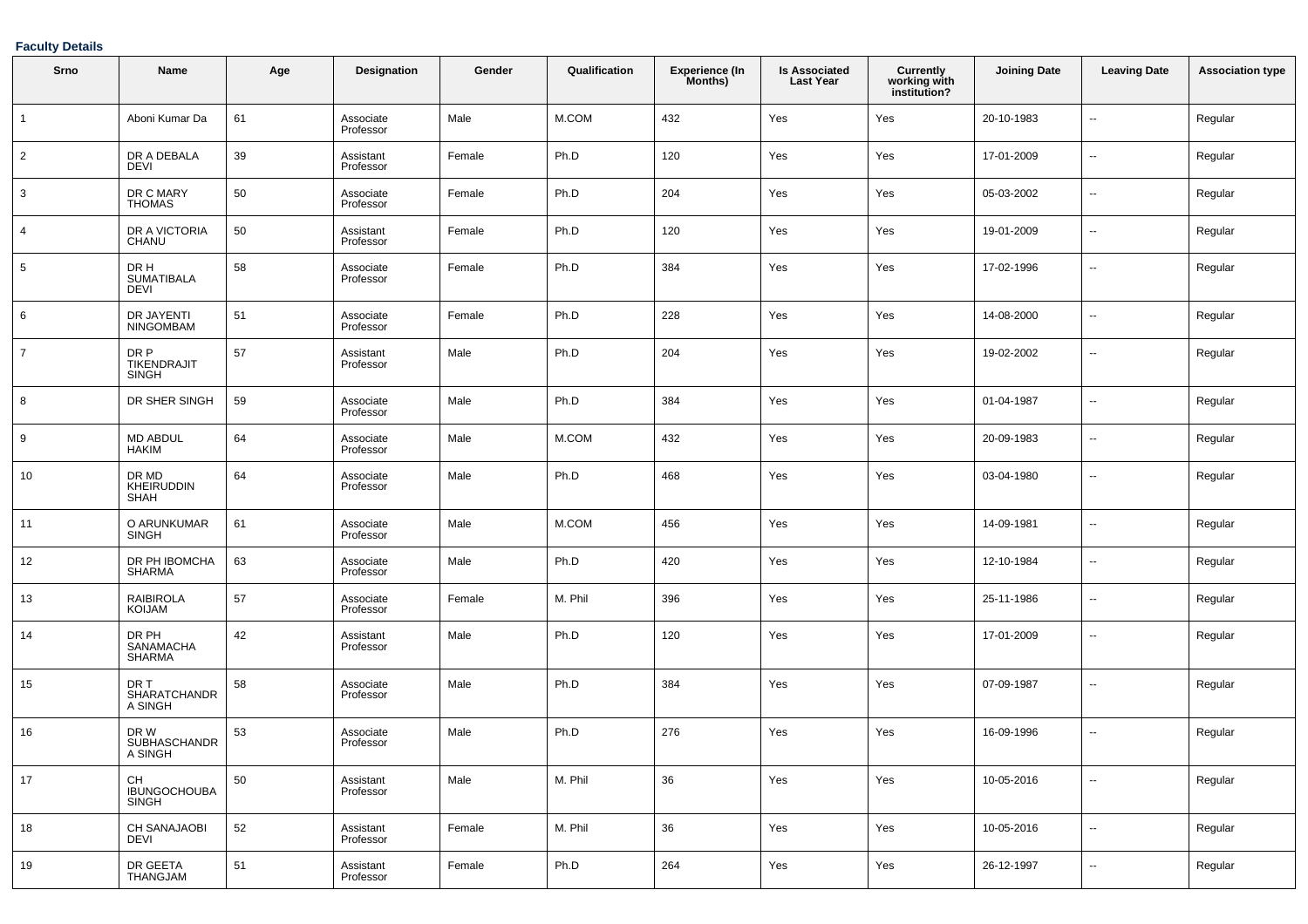## **Faculty Details**

| Srno           | Name                                | Age | <b>Designation</b>     | Gender | Qualification | <b>Experience (In</b><br>Months) | <b>Is Associated</b><br><b>Last Year</b> | <b>Currently</b><br>working with<br>institution? | <b>Joining Date</b> | <b>Leaving Date</b>      | <b>Association type</b> |
|----------------|-------------------------------------|-----|------------------------|--------|---------------|----------------------------------|------------------------------------------|--------------------------------------------------|---------------------|--------------------------|-------------------------|
| $\mathbf{1}$   | Aboni Kumar Da                      | 61  | Associate<br>Professor | Male   | M.COM         | 432                              | Yes                                      | Yes                                              | 20-10-1983          | $\sim$                   | Regular                 |
| $\overline{2}$ | DR A DEBALA<br><b>DEVI</b>          | 39  | Assistant<br>Professor | Female | Ph.D          | 120                              | Yes                                      | Yes                                              | 17-01-2009          | $\sim$                   | Regular                 |
| 3              | DR C MARY<br><b>THOMAS</b>          | 50  | Associate<br>Professor | Female | Ph.D          | 204                              | Yes                                      | Yes                                              | 05-03-2002          | $\sim$                   | Regular                 |
| 4              | DR A VICTORIA<br>CHANU              | 50  | Assistant<br>Professor | Female | Ph.D          | 120                              | Yes                                      | Yes                                              | 19-01-2009          | $\sim$                   | Regular                 |
| 5              | DR H<br><b>SUMATIBALA</b><br>DEVI   | 58  | Associate<br>Professor | Female | Ph.D          | 384                              | Yes                                      | Yes                                              | 17-02-1996          | $\sim$                   | Regular                 |
| 6              | DR JAYENTI<br>NINGOMBAM             | 51  | Associate<br>Professor | Female | Ph.D          | 228                              | Yes                                      | Yes                                              | 14-08-2000          | $\overline{\phantom{a}}$ | Regular                 |
| $\overline{7}$ | DR P<br>TIKENDRAJIT<br><b>SINGH</b> | 57  | Assistant<br>Professor | Male   | Ph.D          | 204                              | Yes                                      | Yes                                              | 19-02-2002          | $\overline{\phantom{a}}$ | Regular                 |
| 8              | DR SHER SINGH                       | 59  | Associate<br>Professor | Male   | Ph.D          | 384                              | Yes                                      | Yes                                              | 01-04-1987          | --                       | Regular                 |
| 9              | MD ABDUL<br><b>HAKIM</b>            | 64  | Associate<br>Professor | Male   | M.COM         | 432                              | Yes                                      | Yes                                              | 20-09-1983          | $\sim$                   | Regular                 |
| 10             | DR MD<br>KHEIRUDDIN<br>SHAH         | 64  | Associate<br>Professor | Male   | Ph.D          | 468                              | Yes                                      | Yes                                              | 03-04-1980          | $\sim$                   | Regular                 |
| 11             | O ARUNKUMAR<br><b>SINGH</b>         | 61  | Associate<br>Professor | Male   | M.COM         | 456                              | Yes                                      | Yes                                              | 14-09-1981          | $\sim$                   | Regular                 |
| 12             | DR PH IBOMCHA<br>SHARMA             | 63  | Associate<br>Professor | Male   | Ph.D          | 420                              | Yes                                      | Yes                                              | 12-10-1984          | --                       | Regular                 |
| 13             | <b>RAIBIROLA</b><br>KOIJAM          | 57  | Associate<br>Professor | Female | M. Phil       | 396                              | Yes                                      | Yes                                              | 25-11-1986          | $\sim$                   | Regular                 |
| 14             | DR PH<br>SANAMACHA<br>SHARMA        | 42  | Assistant<br>Professor | Male   | Ph.D          | 120                              | Yes                                      | Yes                                              | 17-01-2009          | $\overline{\phantom{a}}$ | Regular                 |
| 15             | DR T<br>SHARATCHANDR<br>A SINGH     | 58  | Associate<br>Professor | Male   | Ph.D          | 384                              | Yes                                      | Yes                                              | 07-09-1987          | $\sim$                   | Regular                 |
| 16             | DR W<br>SUBHASCHANDR<br>A SINGH     | 53  | Associate<br>Professor | Male   | Ph.D          | 276                              | Yes                                      | Yes                                              | 16-09-1996          | --                       | Regular                 |
| 17             | CН<br><b>IBUNGOCHOUBA</b><br>SINGH  | 50  | Assistant<br>Professor | Male   | M. Phil       | 36                               | Yes                                      | Yes                                              | 10-05-2016          | $\sim$                   | Regular                 |
| 18             | <b>CH SANAJAOBI</b><br><b>DEVI</b>  | 52  | Assistant<br>Professor | Female | M. Phil       | 36                               | Yes                                      | Yes                                              | 10-05-2016          | $\overline{\phantom{a}}$ | Regular                 |
| 19             | DR GEETA<br>THANGJAM                | 51  | Assistant<br>Professor | Female | Ph.D          | 264                              | Yes                                      | Yes                                              | 26-12-1997          | $\overline{\phantom{a}}$ | Regular                 |